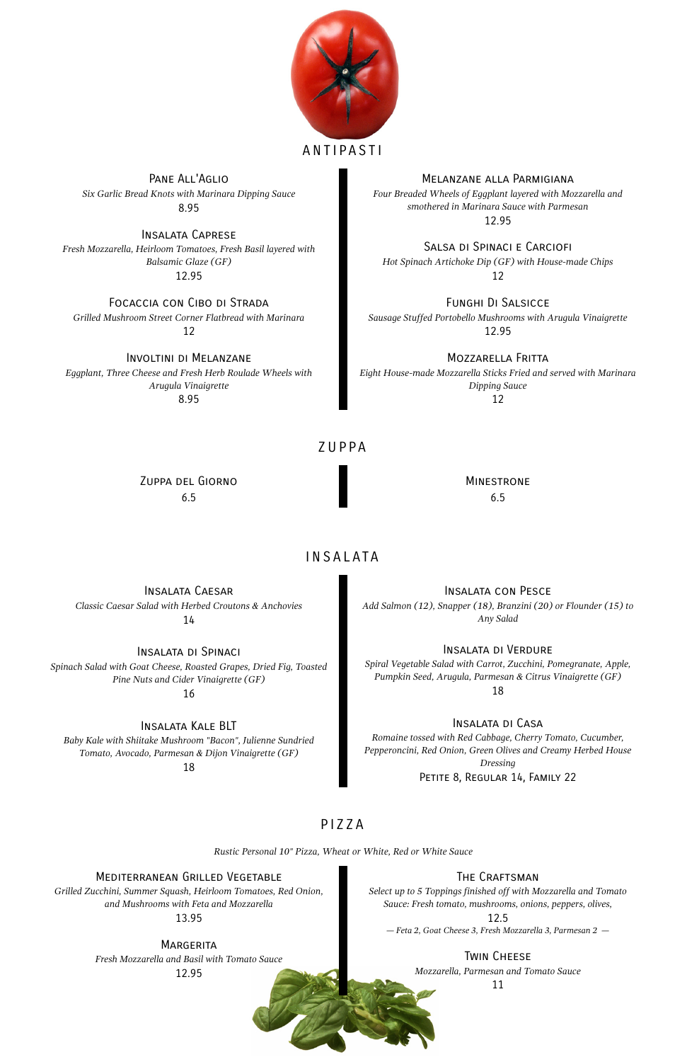

# **ANTIPASTI**

#### Pane All'Aglio *Six Garlic Bread Knots with Marinara Dipping Sauce* 8.95

Melanzane alla Parmigiana

*Four Breaded Wheels of Eggplant layered with Mozzarella and smothered in Marinara Sauce with Parmesan* 12.95

Insalata Caprese *Fresh Mozzarella, Heirloom Tomatoes, Fresh Basil layered with Balsamic Glaze (GF)* 12.95

Salsa di Spinaci e Carciofi *Hot Spinach Artichoke Dip (GF) with House-made Chips* 12

> **MINESTRONE** 6.5

# **INSALATA**

#### Focaccia con Cibo di Strada *Grilled Mushroom Street Corner Flatbread with Marinara* 12

Funghi Di Salsicce *Sausage Stuffed Portobello Mushrooms with Arugula Vinaigrette* 12.95

## Involtini di Melanzane

*Eggplant, Three Cheese and Fresh Herb Roulade Wheels with Arugula Vinaigrette* 8.95

Mozzarella Fritta

*Eight House-made Mozzarella Sticks Fried and served with Marinara Dipping Sauce* 12

# ZUPPA

*Dressing* PETITE 8, REGULAR 14, FAMILY 22

Zuppa del Giorno 6.5

Insalata Caesar *Classic Caesar Salad with Herbed Croutons & Anchovies* 14

Insalata con Pesce *Add Salmon (12), Snapper (18), Branzini (20) or Flounder (15) to Any Salad*

Insalata di Spinaci *Spinach Salad with Goat Cheese, Roasted Grapes, Dried Fig, Toasted Pine Nuts and Cider Vinaigrette (GF)* 16

Insalata di Verdure *Spiral Vegetable Salad with Carrot, Zucchini, Pomegranate, Apple, Pumpkin Seed, Arugula, Parmesan & Citrus Vinaigrette (GF)* 18

# Insalata Kale BLT

*Baby Kale with Shiitake Mushroom "Bacon", Julienne Sundried Tomato, Avocado, Parmesan & Dijon Vinaigrette (GF)*

18

# Insalata di Casa

*Romaine tossed with Red Cabbage, Cherry Tomato, Cucumber, Pepperoncini, Red Onion, Green Olives and Creamy Herbed House*

## PIZZA

*Rustic Personal 10" Pizza, Wheat or White, Red or White Sauce*

#### Mediterranean Grilled Vegetable

*Grilled Zucchini, Summer Squash, Heirloom Tomatoes, Red Onion, and Mushrooms with Feta and Mozzarella*

13.95

#### **MARGERITA**

*Select up to 5 Toppings finished off with Mozzarella and Tomato Sauce: Fresh tomato, mushrooms, onions, peppers, olives,*

#### 12.5

*— Feta 2, Goat Cheese 3, Fresh Mozzarella 3, Parmesan 2 —*

*Fresh Mozzarella and Basil with Tomato Sauce*

12.95

#### THE CRAFTSMAN

#### Twin Cheese

*Mozzarella, Parmesan and Tomato Sauce*

11